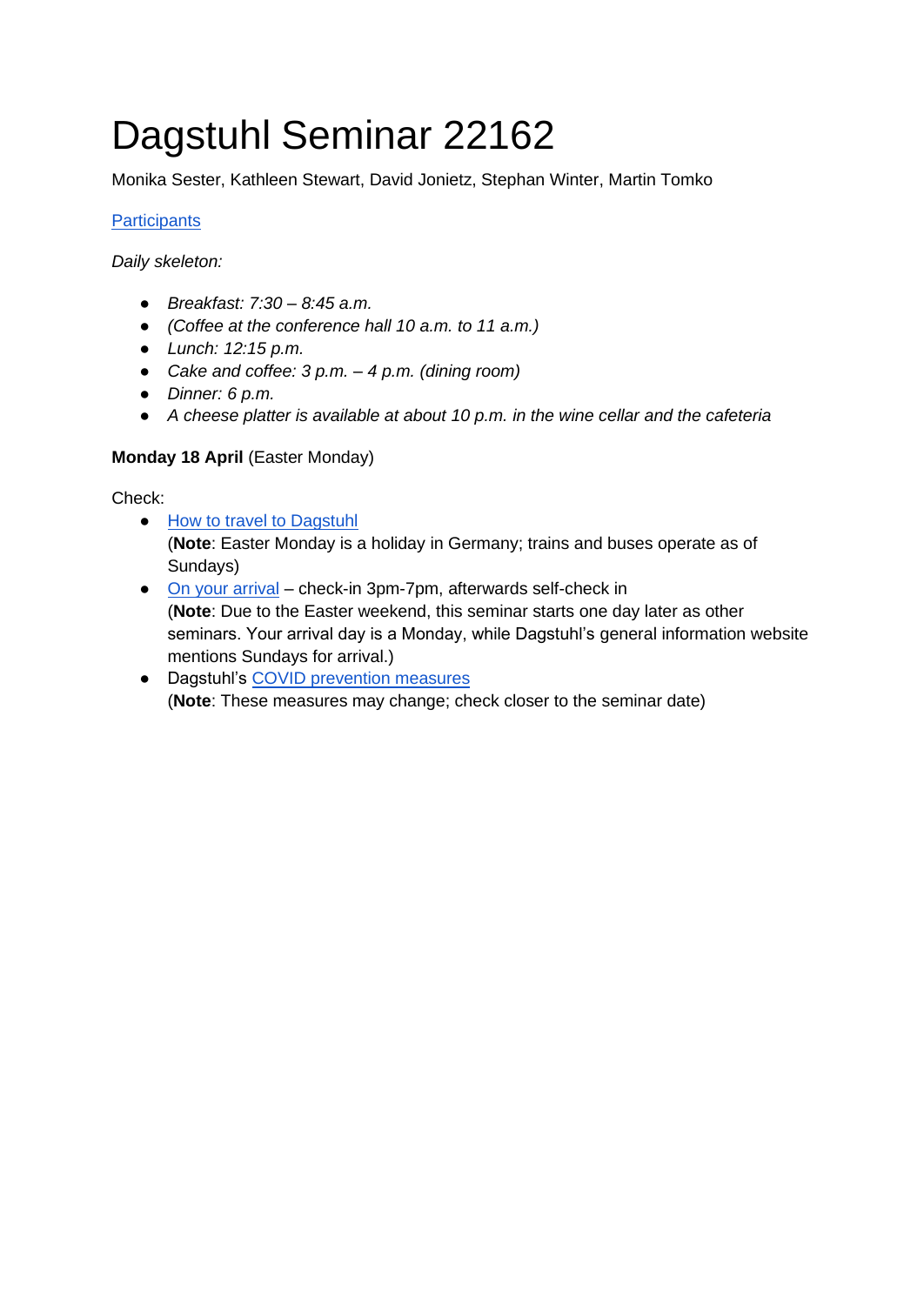# Dagstuhl Seminar 22162

Monika Sester, Kathleen Stewart, David Jonietz, Stephan Winter, Martin Tomko

#### **[Participants](https://angelina.dagstuhl.de/orgtools/response.php?seminar=22162)**

*Daily skeleton:*

- *Breakfast: 7:30 – 8:45 a.m.*
- *(Coffee at the conference hall 10 a.m. to 11 a.m.)*
- *Lunch: 12:15 p.m.*
- *Cake and coffee: 3 p.m. – 4 p.m. (dining room)*
- *Dinner: 6 p.m.*
- *A cheese platter is available at about 10 p.m. in the wine cellar and the cafeteria*

#### **Monday 18 April** (Easter Monday)

Check:

- [How to travel to Dagstuhl](https://www.dagstuhl.de/ueber-dagstuhl/anreise/)
	- (**Note**: Easter Monday is a holiday in Germany; trains and buses operate as of Sundays)
- [On your arrival](https://www.dagstuhl.de/ueber-dagstuhl/anreise/planung-ihres-besuchs-check-in/) check-in 3pm-7pm, afterwards self-check in (**Note**: Due to the Easter weekend, this seminar starts one day later as other seminars. Your arrival day is a Monday, while Dagstuhl's general information website mentions Sundays for arrival.)
- Dagstuhl's [COVID prevention measures](https://www.dagstuhl.de/program/planning-your-visit/sars-cov-2-prevention) (**Note**: These measures may change; check closer to the seminar date)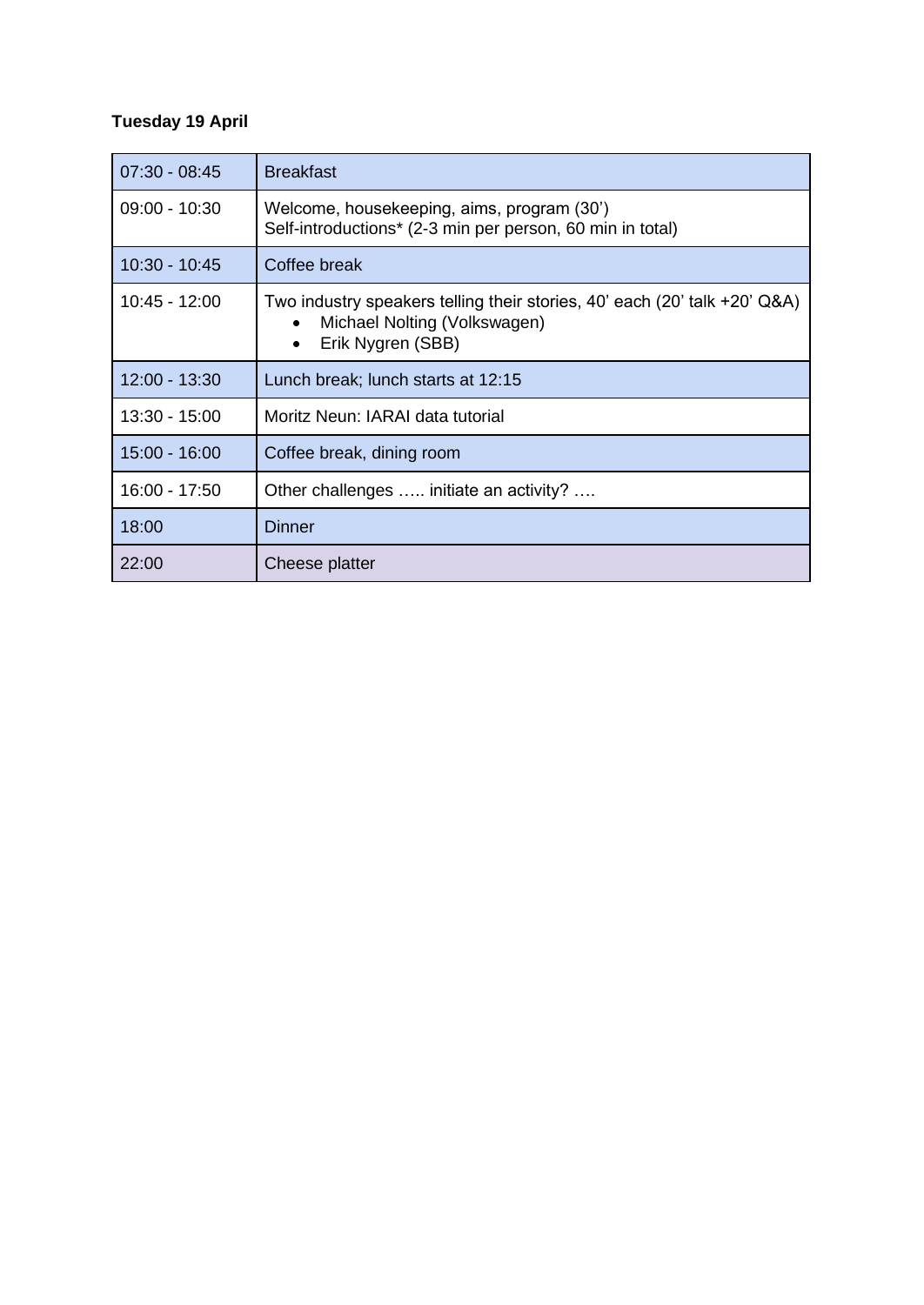## **Tuesday 19 April**

| $07:30 - 08:45$ | <b>Breakfast</b>                                                                                                                            |
|-----------------|---------------------------------------------------------------------------------------------------------------------------------------------|
| $09:00 - 10:30$ | Welcome, housekeeping, aims, program (30')<br>Self-introductions* (2-3 min per person, 60 min in total)                                     |
| 10:30 - 10:45   | Coffee break                                                                                                                                |
| 10:45 - 12:00   | Two industry speakers telling their stories, 40' each (20' talk +20' Q&A)<br>Michael Nolting (Volkswagen)<br>Erik Nygren (SBB)<br>$\bullet$ |
| 12:00 - 13:30   | Lunch break; lunch starts at 12:15                                                                                                          |
| 13:30 - 15:00   | Moritz Neun: IARAI data tutorial                                                                                                            |
| $15:00 - 16:00$ | Coffee break, dining room                                                                                                                   |
| 16:00 - 17:50   | Other challenges  initiate an activity?                                                                                                     |
| 18:00           | <b>Dinner</b>                                                                                                                               |
| 22:00           | Cheese platter                                                                                                                              |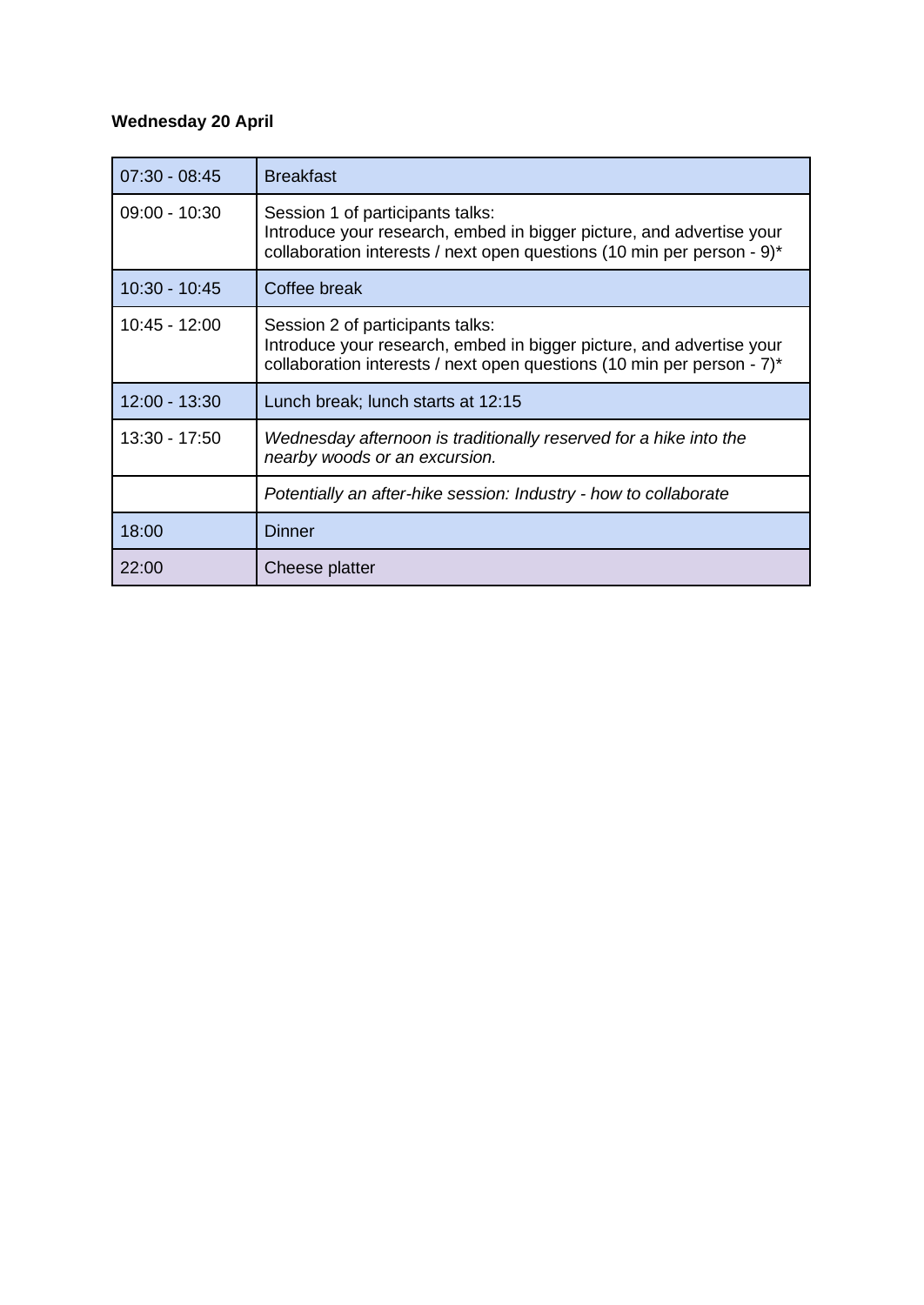## **Wednesday 20 April**

| $07:30 - 08:45$ | <b>Breakfast</b>                                                                                                                                                                   |
|-----------------|------------------------------------------------------------------------------------------------------------------------------------------------------------------------------------|
| $09:00 - 10:30$ | Session 1 of participants talks:<br>Introduce your research, embed in bigger picture, and advertise your<br>collaboration interests / next open questions (10 min per person - 9)* |
| $10:30 - 10:45$ | Coffee break                                                                                                                                                                       |
| 10:45 - 12:00   | Session 2 of participants talks:<br>Introduce your research, embed in bigger picture, and advertise your<br>collaboration interests / next open questions (10 min per person - 7)* |
| $12:00 - 13:30$ | Lunch break; lunch starts at 12:15                                                                                                                                                 |
| 13:30 - 17:50   | Wednesday afternoon is traditionally reserved for a hike into the<br>nearby woods or an excursion.                                                                                 |
|                 | Potentially an after-hike session: Industry - how to collaborate                                                                                                                   |
| 18:00           | <b>Dinner</b>                                                                                                                                                                      |
| 22:00           | Cheese platter                                                                                                                                                                     |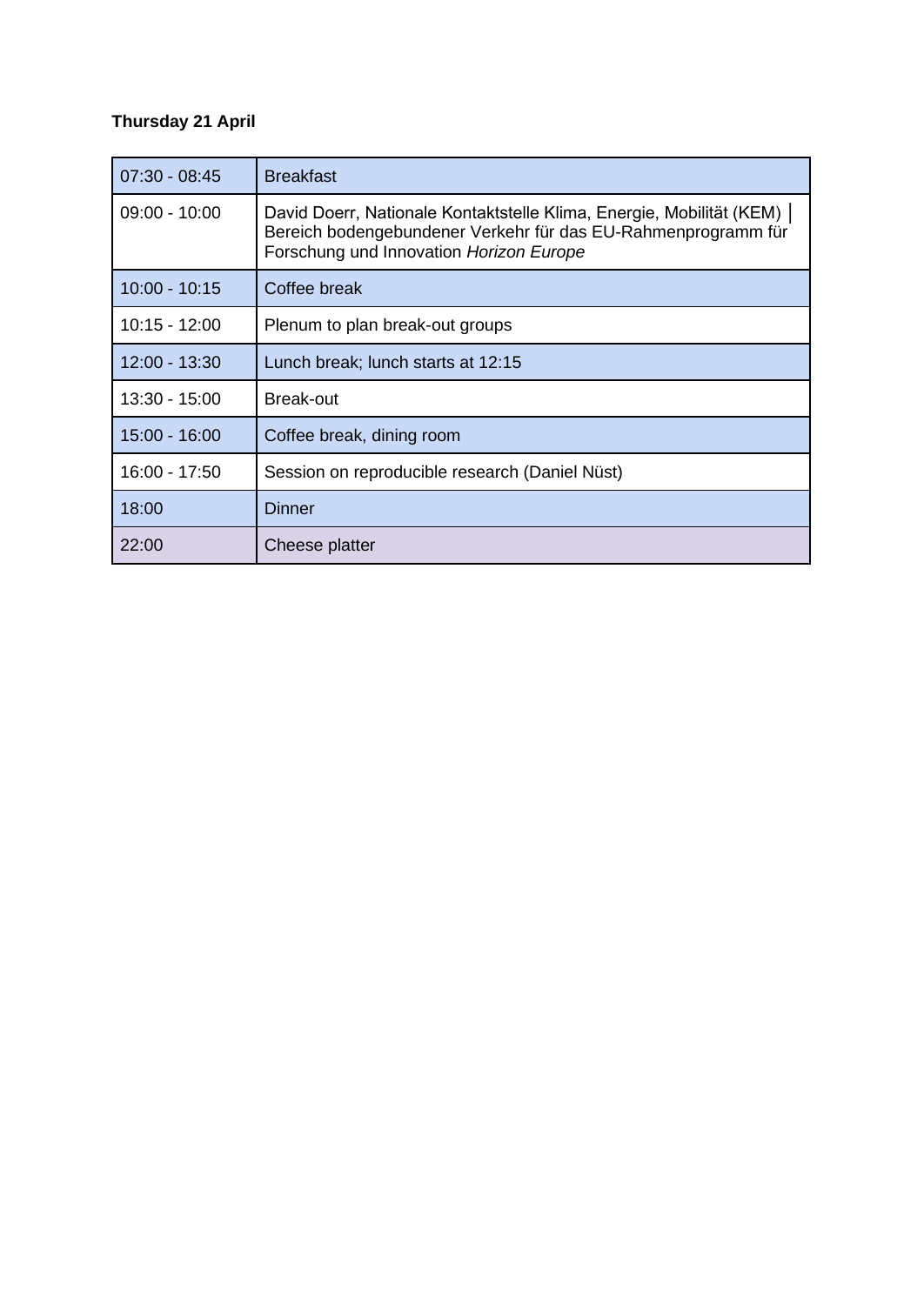## **Thursday 21 April**

| $07:30 - 08:45$ | <b>Breakfast</b>                                                                                                                                                                   |
|-----------------|------------------------------------------------------------------------------------------------------------------------------------------------------------------------------------|
| $09:00 - 10:00$ | David Doerr, Nationale Kontaktstelle Klima, Energie, Mobilität (KEM)  <br>Bereich bodengebundener Verkehr für das EU-Rahmenprogramm für<br>Forschung und Innovation Horizon Europe |
| $10:00 - 10:15$ | Coffee break                                                                                                                                                                       |
| 10:15 - 12:00   | Plenum to plan break-out groups                                                                                                                                                    |
| 12:00 - 13:30   | Lunch break; lunch starts at 12:15                                                                                                                                                 |
| $13:30 - 15:00$ | <b>Break-out</b>                                                                                                                                                                   |
| 15:00 - 16:00   | Coffee break, dining room                                                                                                                                                          |
| 16:00 - 17:50   | Session on reproducible research (Daniel Nüst)                                                                                                                                     |
| 18:00           | Dinner                                                                                                                                                                             |
| 22:00           | Cheese platter                                                                                                                                                                     |